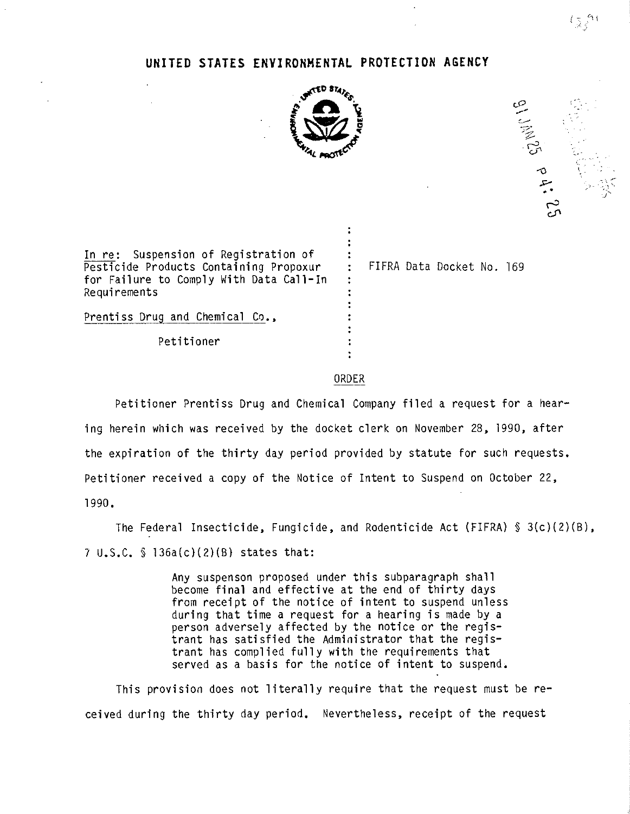## **UNITED STATES ENVIRONMENTAL PROTECTION AGENCY**



01. JAN 25 P 4: 25 ,:..- *.j ..*

In re: Suspension of Registration of Pesticide Products Containing Propoxur for Failure to Comply With Data Call-In Requirements

FIFRA Data Docket No. 169

Petitioner

Prentiss Drug and Chemical Co.,

## ORDER

 $\ddot{\phantom{a}}$  $\ddot{\cdot}$ 

 $\ddot{\cdot}$  $\ddot{\phantom{a}}$ ÷  $\ddot{\cdot}$ 

Petitioner Prentiss Drug and Chemical Company filed a request for a hearing herein which was received by the docket clerk on November 28, 1990, after the expiration of the thirty day period provided by statute for such requests. Petitioner received a copy of the Notice of Intent to Suspend on October 22, 1990.

The Federal Insecticide, Fungicide, and Rodenticide Act (FIFRA) § 3(c)(2)(B), 7 U.S.C. § 136a(c)(2)(B) states that:

> Any suspenson proposed under this subparagraph shall become final and effective at the end of thirty days from receipt of the notice of intent to suspend unless during that time a request for a hearing is made by a person adversely affected by the notice or the registrant has satisfied the Administrator that the registrant has complied fully with the requirements that served as a basis for the notice of intent to suspend,

This provision does not literally require that the request must be received during the thirty day period. Nevertheless, receipt of the request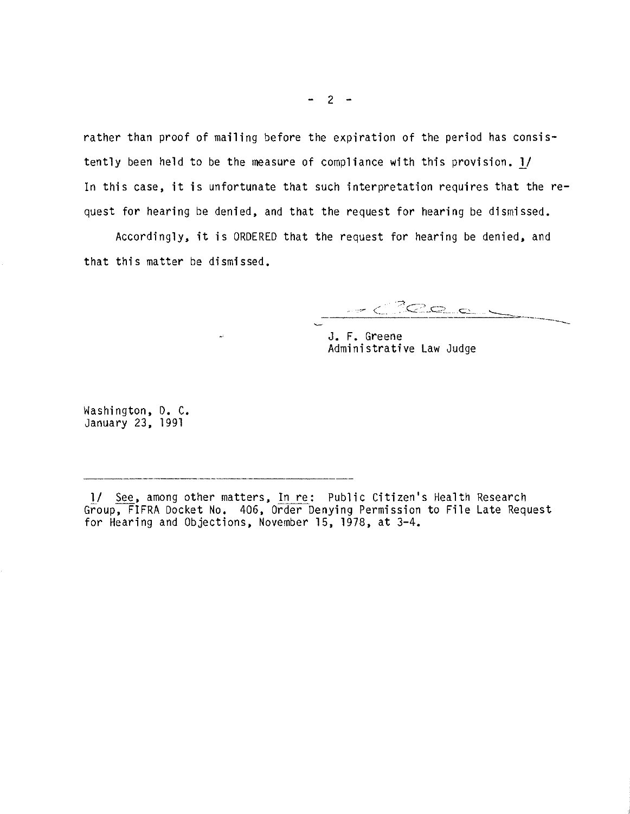rather than proof of mailing before the expiration of the period has consistently been held to be the measure of compliance with this provision. 1/ In this case, it is unfortunate that such interpretation requires that the request for hearing be denied, and that the request for hearing be dismissed.

Accordingly, it is ORDERED that the request for hearing be denied, and that this matter be dismissed.

 $z<sup>2</sup>$ Cec

J. F. Greene Administrative Law Judge

Washington, D. C. January 23, 1991

l/ See, among other matters, In re: Public Citizen's Health Research Group, FIFRA Docket No. 406, Order Denying Permission to File Late Request for Hearing and Objections, November 15, 1978, at 3-4.